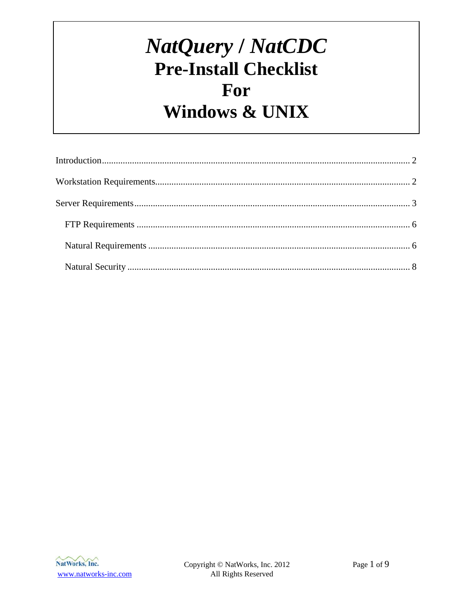# NatQuery / NatCDC **Pre-Install Checklist** For **Windows & UNIX**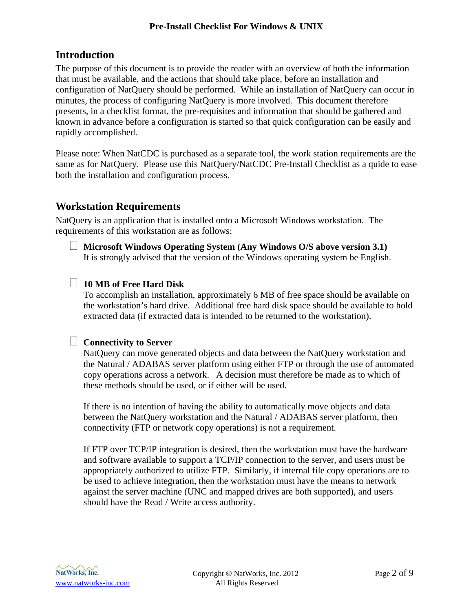# <span id="page-1-0"></span>**Introduction**

The purpose of this document is to provide the reader with an overview of both the information that must be available, and the actions that should take place, before an installation and configuration of NatQuery should be performed. While an installation of NatQuery can occur in minutes, the process of configuring NatQuery is more involved. This document therefore presents, in a checklist format, the pre-requisites and information that should be gathered and known in advance before a configuration is started so that quick configuration can be easily and rapidly accomplished.

Please note: When NatCDC is purchased as a separate tool, the work station requirements are the same as for NatQuery. Please use this NatQuery/NatCDC Pre-Install Checklist as a quide to ease both the installation and configuration process.

# **Workstation Requirements**

NatQuery is an application that is installed onto a Microsoft Windows workstation. The requirements of this workstation are as follows:

 **Microsoft Windows Operating System (Any Windows O/S above version 3.1)** It is strongly advised that the version of the Windows operating system be English.

# **10 MB of Free Hard Disk**

To accomplish an installation, approximately 6 MB of free space should be available on the workstation's hard drive. Additional free hard disk space should be available to hold extracted data (if extracted data is intended to be returned to the workstation).

# **Connectivity to Server**

NatQuery can move generated objects and data between the NatQuery workstation and the Natural / ADABAS server platform using either FTP or through the use of automated copy operations across a network. A decision must therefore be made as to which of these methods should be used, or if either will be used.

If there is no intention of having the ability to automatically move objects and data between the NatQuery workstation and the Natural / ADABAS server platform, then connectivity (FTP or network copy operations) is not a requirement.

If FTP over TCP/IP integration is desired, then the workstation must have the hardware and software available to support a TCP/IP connection to the server, and users must be appropriately authorized to utilize FTP. Similarly, if internal file copy operations are to be used to achieve integration, then the workstation must have the means to network against the server machine (UNC and mapped drives are both supported), and users should have the Read / Write access authority.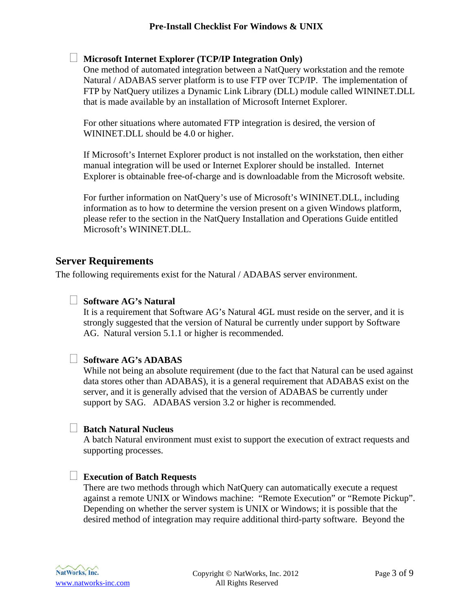# <span id="page-2-0"></span>**Microsoft Internet Explorer (TCP/IP Integration Only)**

One method of automated integration between a NatQuery workstation and the remote Natural / ADABAS server platform is to use FTP over TCP/IP. The implementation of FTP by NatQuery utilizes a Dynamic Link Library (DLL) module called WININET.DLL that is made available by an installation of Microsoft Internet Explorer.

For other situations where automated FTP integration is desired, the version of WININET.DLL should be 4.0 or higher.

If Microsoft's Internet Explorer product is not installed on the workstation, then either manual integration will be used or Internet Explorer should be installed. Internet Explorer is obtainable free-of-charge and is downloadable from the Microsoft website.

For further information on NatQuery's use of Microsoft's WININET.DLL, including information as to how to determine the version present on a given Windows platform, please refer to the section in the NatQuery Installation and Operations Guide entitled Microsoft's WININET.DLL.

# **Server Requirements**

The following requirements exist for the Natural / ADABAS server environment.

# **Software AG's Natural**

It is a requirement that Software AG's Natural 4GL must reside on the server, and it is strongly suggested that the version of Natural be currently under support by Software AG. Natural version 5.1.1 or higher is recommended.

# **Software AG's ADABAS**

While not being an absolute requirement (due to the fact that Natural can be used against data stores other than ADABAS), it is a general requirement that ADABAS exist on the server, and it is generally advised that the version of ADABAS be currently under support by SAG. ADABAS version 3.2 or higher is recommended.

#### **Batch Natural Nucleus**

A batch Natural environment must exist to support the execution of extract requests and supporting processes.

#### **Execution of Batch Requests**

There are two methods through which NatQuery can automatically execute a request against a remote UNIX or Windows machine: "Remote Execution" or "Remote Pickup". Depending on whether the server system is UNIX or Windows; it is possible that the desired method of integration may require additional third-party software. Beyond the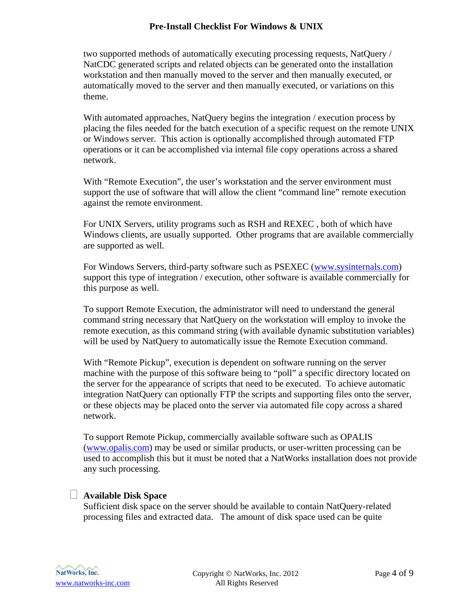two supported methods of automatically executing processing requests, NatQuery / NatCDC generated scripts and related objects can be generated onto the installation workstation and then manually moved to the server and then manually executed, or automatically moved to the server and then manually executed, or variations on this theme.

With automated approaches, NatQuery begins the integration / execution process by placing the files needed for the batch execution of a specific request on the remote UNIX or Windows server. This action is optionally accomplished through automated FTP operations or it can be accomplished via internal file copy operations across a shared network.

With "Remote Execution", the user's workstation and the server environment must support the use of software that will allow the client "command line" remote execution against the remote environment.

For UNIX Servers, utility programs such as RSH and REXEC , both of which have Windows clients, are usually supported. Other programs that are available commercially are supported as well.

For Windows Servers, third-party software such as PSEXEC ([www.sysinternals.com](http://www.sysinternals.com/)) support this type of integration / execution, other software is available commercially for this purpose as well.

To support Remote Execution, the administrator will need to understand the general command string necessary that NatQuery on the workstation will employ to invoke the remote execution, as this command string (with available dynamic substitution variables) will be used by NatQuery to automatically issue the Remote Execution command.

With "Remote Pickup", execution is dependent on software running on the server machine with the purpose of this software being to "poll" a specific directory located on the server for the appearance of scripts that need to be executed. To achieve automatic integration NatQuery can optionally FTP the scripts and supporting files onto the server, or these objects may be placed onto the server via automated file copy across a shared network.

To support Remote Pickup, commercially available software such as OPALIS ([www.opalis.com](http://www.opalis.com/)) may be used or similar products, or user-written processing can be used to accomplish this but it must be noted that a NatWorks installation does not provide any such processing.

# **Available Disk Space**

Sufficient disk space on the server should be available to contain NatQuery-related processing files and extracted data. The amount of disk space used can be quite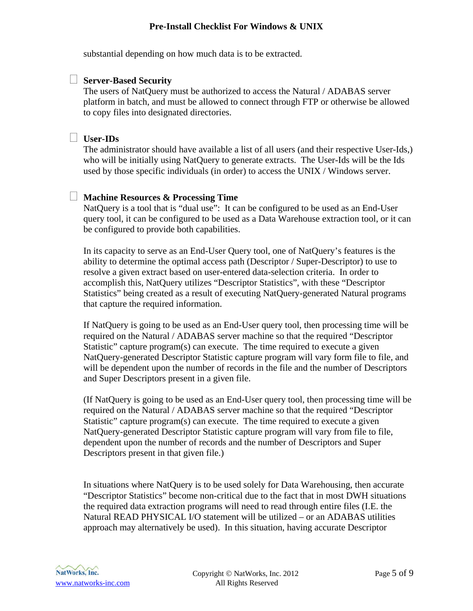substantial depending on how much data is to be extracted.

#### **Server-Based Security**

The users of NatQuery must be authorized to access the Natural / ADABAS server platform in batch, and must be allowed to connect through FTP or otherwise be allowed to copy files into designated directories.

# **User-IDs**

The administrator should have available a list of all users (and their respective User-Ids,) who will be initially using NatQuery to generate extracts. The User-Ids will be the Ids used by those specific individuals (in order) to access the UNIX / Windows server.

# **Machine Resources & Processing Time**

NatQuery is a tool that is "dual use": It can be configured to be used as an End-User query tool, it can be configured to be used as a Data Warehouse extraction tool, or it can be configured to provide both capabilities.

In its capacity to serve as an End-User Query tool, one of NatQuery's features is the ability to determine the optimal access path (Descriptor / Super-Descriptor) to use to resolve a given extract based on user-entered data-selection criteria. In order to accomplish this, NatQuery utilizes "Descriptor Statistics", with these "Descriptor Statistics" being created as a result of executing NatQuery-generated Natural programs that capture the required information.

If NatQuery is going to be used as an End-User query tool, then processing time will be required on the Natural / ADABAS server machine so that the required "Descriptor Statistic" capture program(s) can execute. The time required to execute a given NatQuery-generated Descriptor Statistic capture program will vary form file to file, and will be dependent upon the number of records in the file and the number of Descriptors and Super Descriptors present in a given file.

(If NatQuery is going to be used as an End-User query tool, then processing time will be required on the Natural / ADABAS server machine so that the required "Descriptor Statistic" capture program(s) can execute. The time required to execute a given NatQuery-generated Descriptor Statistic capture program will vary from file to file, dependent upon the number of records and the number of Descriptors and Super Descriptors present in that given file.)

In situations where NatQuery is to be used solely for Data Warehousing, then accurate "Descriptor Statistics" become non-critical due to the fact that in most DWH situations the required data extraction programs will need to read through entire files (I.E. the Natural READ PHYSICAL I/O statement will be utilized – or an ADABAS utilities approach may alternatively be used). In this situation, having accurate Descriptor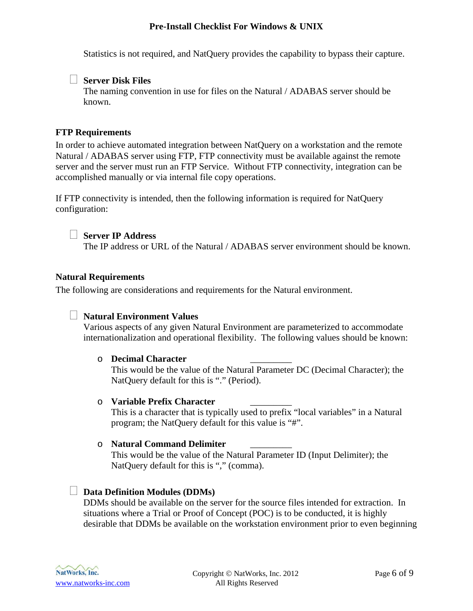<span id="page-5-0"></span>Statistics is not required, and NatQuery provides the capability to bypass their capture.

# **Server Disk Files**

The naming convention in use for files on the Natural / ADABAS server should be known.

# **FTP Requirements**

In order to achieve automated integration between NatQuery on a workstation and the remote Natural / ADABAS server using FTP, FTP connectivity must be available against the remote server and the server must run an FTP Service. Without FTP connectivity, integration can be accomplished manually or via internal file copy operations.

If FTP connectivity is intended, then the following information is required for NatQuery configuration:

#### **Server IP Address**

The IP address or URL of the Natural / ADABAS server environment should be known.

#### **Natural Requirements**

The following are considerations and requirements for the Natural environment.

# **Natural Environment Values**

Various aspects of any given Natural Environment are parameterized to accommodate internationalization and operational flexibility. The following values should be known:

#### o **Decimal Character** \_\_\_\_\_\_\_\_\_

This would be the value of the Natural Parameter DC (Decimal Character); the NatQuery default for this is "." (Period).

#### o **Variable Prefix Character** \_\_\_\_\_\_\_\_\_

This is a character that is typically used to prefix "local variables" in a Natural program; the NatQuery default for this value is "#".

#### o **Natural Command Delimiter** \_\_\_\_\_\_\_\_\_

This would be the value of the Natural Parameter ID (Input Delimiter); the NatQuery default for this is "," (comma).

#### **Data Definition Modules (DDMs)**

DDMs should be available on the server for the source files intended for extraction. In situations where a Trial or Proof of Concept (POC) is to be conducted, it is highly desirable that DDMs be available on the workstation environment prior to even beginning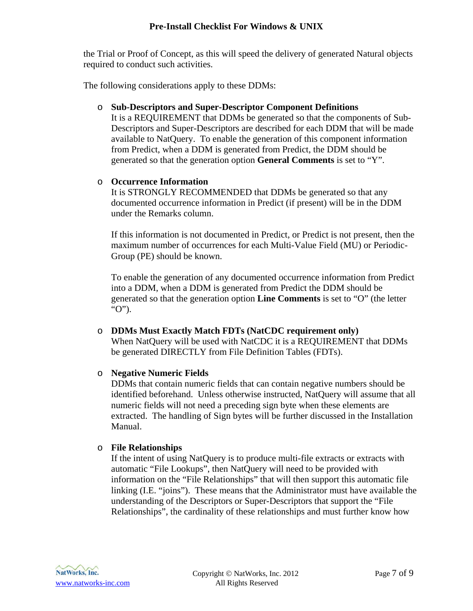the Trial or Proof of Concept, as this will speed the delivery of generated Natural objects required to conduct such activities.

The following considerations apply to these DDMs:

# o **Sub-Descriptors and Super-Descriptor Component Definitions**

It is a REQUIREMENT that DDMs be generated so that the components of Sub-Descriptors and Super-Descriptors are described for each DDM that will be made available to NatQuery. To enable the generation of this component information from Predict, when a DDM is generated from Predict, the DDM should be generated so that the generation option **General Comments** is set to "Y".

# o **Occurrence Information**

It is STRONGLY RECOMMENDED that DDMs be generated so that any documented occurrence information in Predict (if present) will be in the DDM under the Remarks column.

If this information is not documented in Predict, or Predict is not present, then the maximum number of occurrences for each Multi-Value Field (MU) or Periodic-Group (PE) should be known.

To enable the generation of any documented occurrence information from Predict into a DDM, when a DDM is generated from Predict the DDM should be generated so that the generation option **Line Comments** is set to "O" (the letter "O").

o **DDMs Must Exactly Match FDTs (NatCDC requirement only)** When NatQuery will be used with NatCDC it is a REQUIREMENT that DDMs be generated DIRECTLY from File Definition Tables (FDTs).

# o **Negative Numeric Fields**

DDMs that contain numeric fields that can contain negative numbers should be identified beforehand. Unless otherwise instructed, NatQuery will assume that all numeric fields will not need a preceding sign byte when these elements are extracted. The handling of Sign bytes will be further discussed in the Installation Manual.

# o **File Relationships**

If the intent of using NatQuery is to produce multi-file extracts or extracts with automatic "File Lookups", then NatQuery will need to be provided with information on the "File Relationships" that will then support this automatic file linking (I.E. "joins"). These means that the Administrator must have available the understanding of the Descriptors or Super-Descriptors that support the "File Relationships", the cardinality of these relationships and must further know how

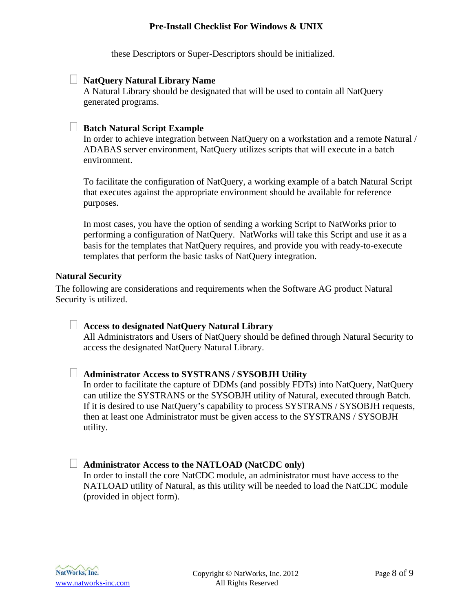these Descriptors or Super-Descriptors should be initialized.

#### <span id="page-7-0"></span>**NatQuery Natural Library Name**

A Natural Library should be designated that will be used to contain all NatQuery generated programs.

#### **Batch Natural Script Example**

In order to achieve integration between NatQuery on a workstation and a remote Natural / ADABAS server environment, NatQuery utilizes scripts that will execute in a batch environment.

To facilitate the configuration of NatQuery, a working example of a batch Natural Script that executes against the appropriate environment should be available for reference purposes.

In most cases, you have the option of sending a working Script to NatWorks prior to performing a configuration of NatQuery. NatWorks will take this Script and use it as a basis for the templates that NatQuery requires, and provide you with ready-to-execute templates that perform the basic tasks of NatQuery integration.

#### **Natural Security**

The following are considerations and requirements when the Software AG product Natural Security is utilized.

 **Access to designated NatQuery Natural Library** All Administrators and Users of NatQuery should be defined through Natural Security to access the designated NatQuery Natural Library.

#### **Administrator Access to SYSTRANS / SYSOBJH Utility**

In order to facilitate the capture of DDMs (and possibly FDTs) into NatQuery, NatQuery can utilize the SYSTRANS or the SYSOBJH utility of Natural, executed through Batch. If it is desired to use NatQuery's capability to process SYSTRANS / SYSOBJH requests, then at least one Administrator must be given access to the SYSTRANS / SYSOBJH utility.

# **Administrator Access to the NATLOAD (NatCDC only)**

In order to install the core NatCDC module, an administrator must have access to the NATLOAD utility of Natural, as this utility will be needed to load the NatCDC module (provided in object form).